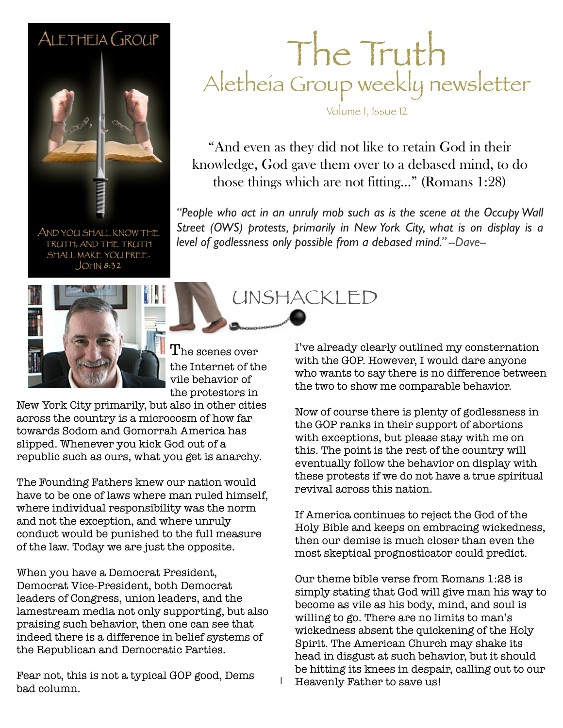### ALETHEIA GROUP



AND YOU SHALL KNOW THE TRUTH, AND THE TRUTH SHALL MAKE YOU FREE.  $JOHM 8:32$ 



 $\rm T$ he scenes over the Internet of the vile behavior of the protestors in

New York City primarily, but also in other cities across the country is a microcosm of how far towards Sodom and Gomorrah America has slipped. Whenever you kick God out of a republic such as ours, what you get is anarchy.

The Founding Fathers knew our nation would have to be one of laws where man ruled himself, where individual responsibility was the norm and not the exception, and where unruly conduct would be punished to the full measure of the law. Today we are just the opposite.

When you have a Democrat President, Democrat Vice-President, both Democrat leaders of Congress, union leaders, and the lamestream media not only supporting, but also praising such behavior, then one can see that indeed there is a difference in belief systems of the Republican and Democratic Parties.

Fear not, this is not a typical GOP good, Dems bad column.

### The Truth Aletheia Group weekly newsletter

Volume I, Issue 12

"And even as they did not like to retain God in their knowledge, God gave them over to a debased mind, to do those things which are not fitting..." (Romans 1:28)

"People who act in an unruly mob such as is the scene at the Occupy Wall *Street (OWS) protests, primarily in New York City, what is on display is a level of godlessness only possible from a debased mind." --Dave--*

UNSHACKLED

I've already clearly outlined my consternation with the GOP. However, I would dare anyone who wants to say there is no difference between the two to show me comparable behavior.

Now of course there is plenty of godlessness in the GOP ranks in their support of abortions with exceptions, but please stay with me on this. The point is the rest of the country will eventually follow the behavior on display with these protests if we do not have a true spiritual revival across this nation.

If America continues to reject the God of the Holy Bible and keeps on embracing wickedness, then our demise is much closer than even the most skeptical prognosticator could predict.

Our theme bible verse from Romans 1:28 is simply stating that God will give man his way to become as vile as his body, mind, and soul is willing to go. There are no limits to man's wickedness absent the quickening of the Holy Spirit. The American Church may shake its head in disgust at such behavior, but it should be hitting its knees in despair, calling out to our Heavenly Father to save us!

1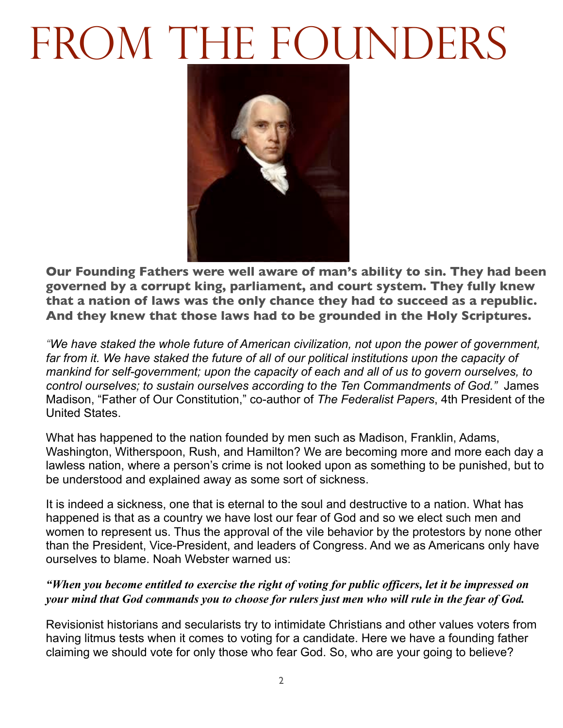# FROM THE FOUNDERS



**Our Founding Fathers were well aware of man's ability to sin. They had been governed by a corrupt king, parliament, and court system. They fully knew that a nation of laws was the only chance they had to succeed as a republic. And they knew that those laws had to be grounded in the Holy Scriptures.**

*"We have staked the whole future of American civilization, not upon the power of government, far from it. We have staked the future of all of our political institutions upon the capacity of mankind for self-government; upon the capacity of each and all of us to govern ourselves, to control ourselves; to sustain ourselves according to the Ten Commandments of God."* James Madison, "Father of Our Constitution," co-author of *The Federalist Papers*, 4th President of the United States.

What has happened to the nation founded by men such as Madison, Franklin, Adams, Washington, Witherspoon, Rush, and Hamilton? We are becoming more and more each day a lawless nation, where a person's crime is not looked upon as something to be punished, but to be understood and explained away as some sort of sickness.

It is indeed a sickness, one that is eternal to the soul and destructive to a nation. What has happened is that as a country we have lost our fear of God and so we elect such men and women to represent us. Thus the approval of the vile behavior by the protestors by none other than the President, Vice-President, and leaders of Congress. And we as Americans only have ourselves to blame. Noah Webster warned us:

#### *"When you become entitled to exercise the right of voting for public officers, let it be impressed on your mind that God commands you to choose for rulers just men who will rule in the fear of God.*

Revisionist historians and secularists try to intimidate Christians and other values voters from having litmus tests when it comes to voting for a candidate. Here we have a founding father claiming we should vote for only those who fear God. So, who are your going to believe?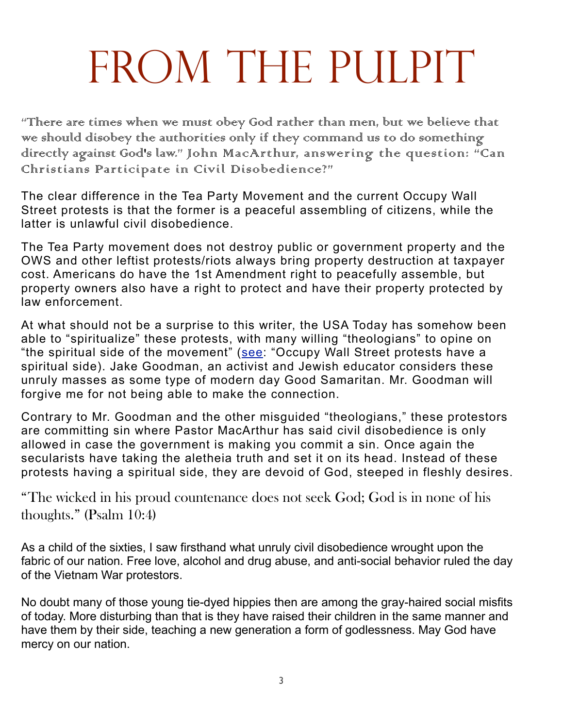### FROM THE PULPIT

"There are times when we must obey God rather than men, but we believe that we should disobey the authorities only if they command us to do something directly against God's law." John MacArthur, answering the question: "Can Christians Participate in Civil Disobedience?"

The clear difference in the Tea Party Movement and the current Occupy Wall Street protests is that the former is a peaceful assembling of citizens, while the latter is unlawful civil disobedience.

The Tea Party movement does not destroy public or government property and the OWS and other leftist protests/riots always bring property destruction at taxpayer cost. Americans do have the 1st Amendment right to peacefully assemble, but property owners also have a right to protect and have their property protected by law enforcement.

At what should not be a surprise to this writer, the USA Today has somehow been able to "spiritualize" these protests, with many willing "theologians" to opine on "the spiritual side of the movement" ([see:](http://content.usatoday.com/communities/Religion/post/2011/10/occupy-wall-street-protests-catholic-god/1) "Occupy Wall Street protests have a spiritual side). Jake Goodman, an activist and Jewish educator considers these unruly masses as some type of modern day Good Samaritan. Mr. Goodman will forgive me for not being able to make the connection.

Contrary to Mr. Goodman and the other misguided "theologians," these protestors are committing sin where Pastor MacArthur has said civil disobedience is only allowed in case the government is making you commit a sin. Once again the secularists have taking the aletheia truth and set it on its head. Instead of these protests having a spiritual side, they are devoid of God, steeped in fleshly desires.

"The wicked in his proud countenance does not seek God; God is in none of his thoughts." (Psalm 10:4)

As a child of the sixties, I saw firsthand what unruly civil disobedience wrought upon the fabric of our nation. Free love, alcohol and drug abuse, and anti-social behavior ruled the day of the Vietnam War protestors.

No doubt many of those young tie-dyed hippies then are among the gray-haired social misfits of today. More disturbing than that is they have raised their children in the same manner and have them by their side, teaching a new generation a form of godlessness. May God have mercy on our nation.